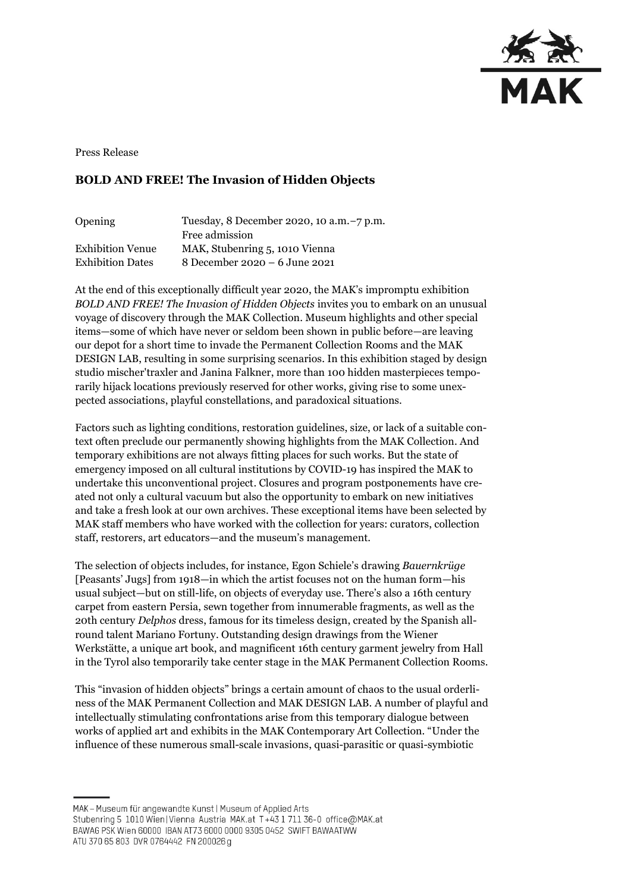

Press Release

## **BOLD AND FREE! The Invasion of Hidden Objects**

| Opening                 | Tuesday, 8 December 2020, 10 a.m. -7 p.m. |
|-------------------------|-------------------------------------------|
|                         | Free admission                            |
| <b>Exhibition Venue</b> | MAK, Stubenring 5, 1010 Vienna            |
| <b>Exhibition Dates</b> | 8 December 2020 – 6 June 2021             |

At the end of this exceptionally difficult year 2020, the MAK's impromptu exhibition *BOLD AND FREE! The Invasion of Hidden Objects* invites you to embark on an unusual voyage of discovery through the MAK Collection. Museum highlights and other special items—some of which have never or seldom been shown in public before—are leaving our depot for a short time to invade the Permanent Collection Rooms and the MAK DESIGN LAB, resulting in some surprising scenarios. In this exhibition staged by design studio mischer'traxler and Janina Falkner, more than 100 hidden masterpieces temporarily hijack locations previously reserved for other works, giving rise to some unexpected associations, playful constellations, and paradoxical situations.

Factors such as lighting conditions, restoration guidelines, size, or lack of a suitable context often preclude our permanently showing highlights from the MAK Collection. And temporary exhibitions are not always fitting places for such works. But the state of emergency imposed on all cultural institutions by COVID-19 has inspired the MAK to undertake this unconventional project. Closures and program postponements have created not only a cultural vacuum but also the opportunity to embark on new initiatives and take a fresh look at our own archives. These exceptional items have been selected by MAK staff members who have worked with the collection for years: curators, collection staff, restorers, art educators—and the museum's management.

The selection of objects includes, for instance, Egon Schiele's drawing *Bauernkrüge*  [Peasants' Jugs] from 1918—in which the artist focuses not on the human form—his usual subject—but on still-life, on objects of everyday use. There's also a 16th century carpet from eastern Persia, sewn together from innumerable fragments, as well as the 20th century *Delphos* dress, famous for its timeless design, created by the Spanish allround talent Mariano Fortuny. Outstanding design drawings from the Wiener Werkstätte, a unique art book, and magnificent 16th century garment jewelry from Hall in the Tyrol also temporarily take center stage in the MAK Permanent Collection Rooms.

This "invasion of hidden objects" brings a certain amount of chaos to the usual orderliness of the MAK Permanent Collection and MAK DESIGN LAB. A number of playful and intellectually stimulating confrontations arise from this temporary dialogue between works of applied art and exhibits in the MAK Contemporary Art Collection. "Under the influence of these numerous small-scale invasions, quasi-parasitic or quasi-symbiotic

MAK - Museum für angewandte Kunst | Museum of Applied Arts

ATU 370 65 803 DVR 0764442 FN 200026 g

Stubenring 5 1010 Wien | Vienna Austria MAK.at T+43 1 711 36-0 office@MAK.at

BAWAG PSK Wien 60000 IBAN AT73 6000 0000 9305 0452 SWIFT BAWAATWW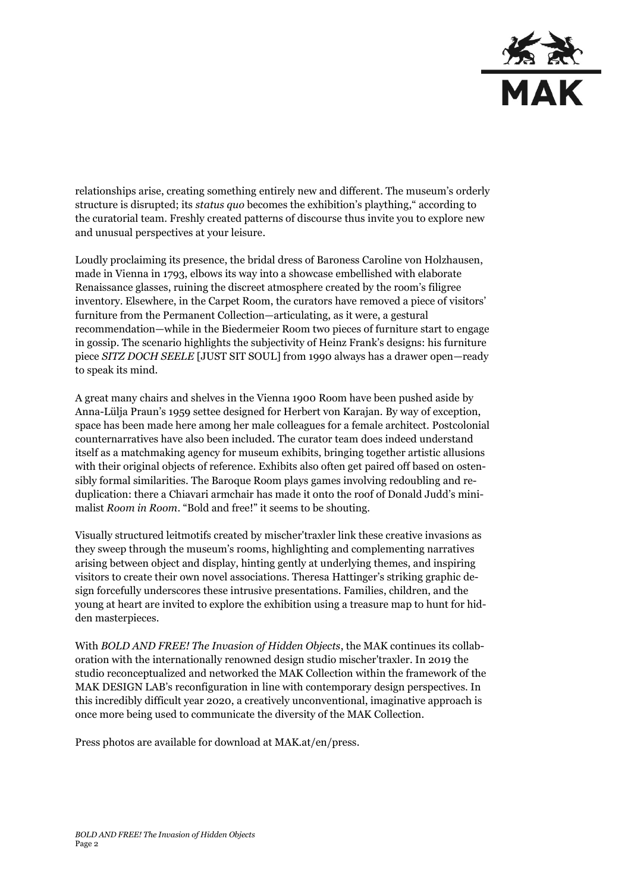

relationships arise, creating something entirely new and different. The museum's orderly structure is disrupted; its *status quo* becomes the exhibition's plaything," according to the curatorial team. Freshly created patterns of discourse thus invite you to explore new and unusual perspectives at your leisure.

Loudly proclaiming its presence, the bridal dress of Baroness Caroline von Holzhausen, made in Vienna in 1793, elbows its way into a showcase embellished with elaborate Renaissance glasses, ruining the discreet atmosphere created by the room's filigree inventory. Elsewhere, in the Carpet Room, the curators have removed a piece of visitors' furniture from the Permanent Collection—articulating, as it were, a gestural recommendation—while in the Biedermeier Room two pieces of furniture start to engage in gossip. The scenario highlights the subjectivity of Heinz Frank's designs: his furniture piece *SITZ DOCH SEELE* [JUST SIT SOUL] from 1990 always has a drawer open—ready to speak its mind.

A great many chairs and shelves in the Vienna 1900 Room have been pushed aside by Anna-Lülja Praun's 1959 settee designed for Herbert von Karajan. By way of exception, space has been made here among her male colleagues for a female architect. Postcolonial counternarratives have also been included. The curator team does indeed understand itself as a matchmaking agency for museum exhibits, bringing together artistic allusions with their original objects of reference. Exhibits also often get paired off based on ostensibly formal similarities. The Baroque Room plays games involving redoubling and reduplication: there a Chiavari armchair has made it onto the roof of Donald Judd's minimalist *Room in Room*. "Bold and free!" it seems to be shouting.

Visually structured leitmotifs created by mischer'traxler link these creative invasions as they sweep through the museum's rooms, highlighting and complementing narratives arising between object and display, hinting gently at underlying themes, and inspiring visitors to create their own novel associations. Theresa Hattinger's striking graphic design forcefully underscores these intrusive presentations. Families, children, and the young at heart are invited to explore the exhibition using a treasure map to hunt for hidden masterpieces.

With *BOLD AND FREE! The Invasion of Hidden Objects*, the MAK continues its collaboration with the internationally renowned design studio mischer'traxler. In 2019 the studio reconceptualized and networked the MAK Collection within the framework of the MAK DESIGN LAB's reconfiguration in line with contemporary design perspectives. In this incredibly difficult year 2020, a creatively unconventional, imaginative approach is once more being used to communicate the diversity of the MAK Collection.

Press photos are available for download at MAK.at/en/press.